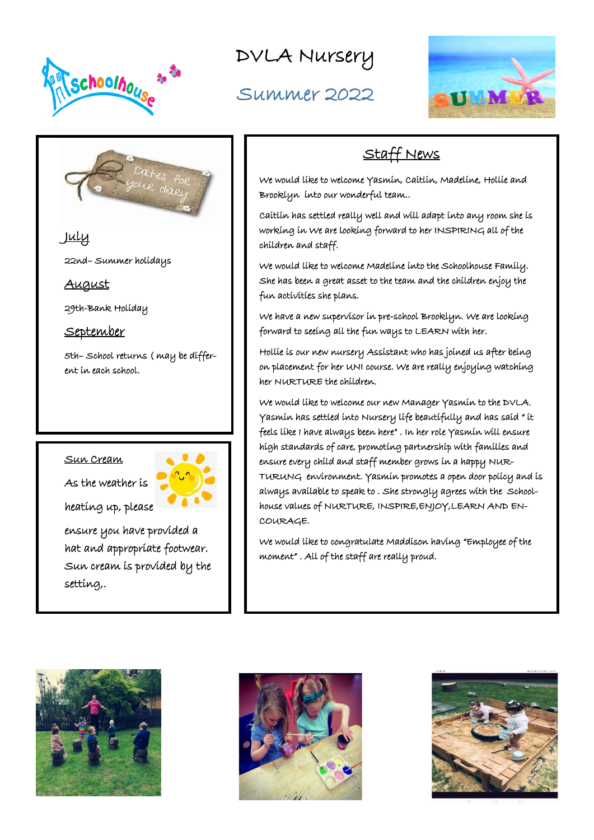

22nd– Summer holidays

29th-Bank Holiday

September

ent in each school.

DVLA Nursery

Summer 2022



# Staff News

We would like to welcome Yasmin, Caitlin, Madeline, Hollie and Brooklyn into our wonderful team..

Caitlin has settled really well and will adapt into any room she is working in We are looking forward to her INSPIRING all of the children and staff.

We would like to welcome Madeline into the Schoolhouse Family. She has been a great asset to the team and the children enjoy the fun activities she plans.

We have a new supervisor in pre-school Brooklyn. We are looking forward to seeing all the fun ways to LEARN with her.

Hollie is our new nursery Assistant who has joined us after being on placement for her UNI course. We are really enjoying watching her NURTURE the children.

We would like to welcome our new Manager Yasmin to the DVLA. Yasmin has settled into Nursery life beautifully and has said " it feels like I have always been here" . In her role Yasmin will ensure high standards of care, promoting partnership with families and ensure every child and staff member grows in a happy NUR-TURUNG environment. Yasmin promotes a open door policy and is always available to speak to . She strongly agrees with the Schoolhouse values of NURTURE, INSPIRE,ENJOY,LEARN AND EN-COURAGE.

We would like to congratulate Maddison having "Employee of the moment" . All of the staff are really proud.





## Sun Cream

July

August

As the weather is



ensure you have provided a hat and appropriate footwear. Sun cream is provided by the setting,.

5th– School returns ( may be differ-

heating up, please

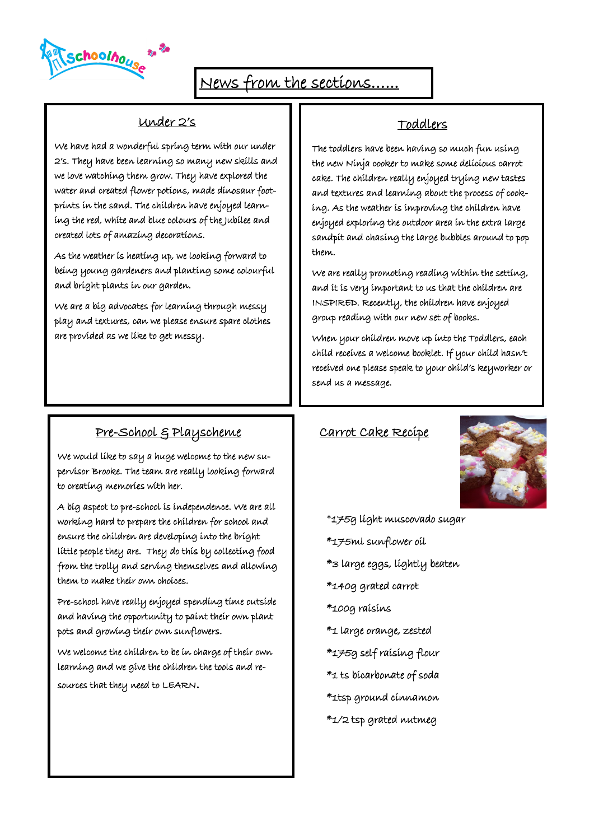choolhouse

# News from the sections…...

#### Under 2's

We have had a wonderful spring term with our under 2's. They have been learning so many new skills and we love watching them grow. They have explored the water and created flower potions, made dinosaur footprints in the sand. The children have enjoyed learning the red, white and blue colours of the Jubilee and created lots of amazing decorations.

As the weather is heating up, we looking forward to being young gardeners and planting some colourful and bright plants in our garden.

We are a big advocates for learning through messy play and textures, can we please ensure spare clothes are provided as we like to get messy.

### Toddlers

The toddlers have been having so much fun using the new Ninja cooker to make some delicious carrot cake. The children really enjoyed trying new tastes and textures and learning about the process of cooking. As the weather is improving the children have enjoyed exploring the outdoor area in the extra large sandpit and chasing the large bubbles around to pop them.

We are really promoting reading within the setting, and it is very important to us that the children are INSPIRED. Recently, the children have enjoyed group reading with our new set of books.

When your children move up into the Toddlers, each child receives a welcome booklet. If your child hasn't received one please speak to your child's keyworker or send us a message.

## Pre-School & Playscheme

We would like to say a huge welcome to the new supervisor Brooke. The team are really looking forward to creating memories with her.

A big aspect to pre-school is independence. We are all working hard to prepare the children for school and ensure the children are developing into the bright little people they are. They do this by collecting food from the trolly and serving themselves and allowing them to make their own choices.

Pre-school have really enjoyed spending time outside and having the opportunity to paint their own plant pots and growing their own sunflowers.

We welcome the children to be in charge of their own learning and we give the children the tools and resources that they need to LEARN.

#### Carrot Cake Recipe



\*175g light muscovado sugar \*175ml sunflower oil \*3 large eggs, lightly beaten \*140g grated carrot \*100g raisins \*1 large orange, zested \*175g self raising flour \*1 ts bicarbonate of soda \*1tsp ground cinnamon \*1/2 tsp grated nutmeg